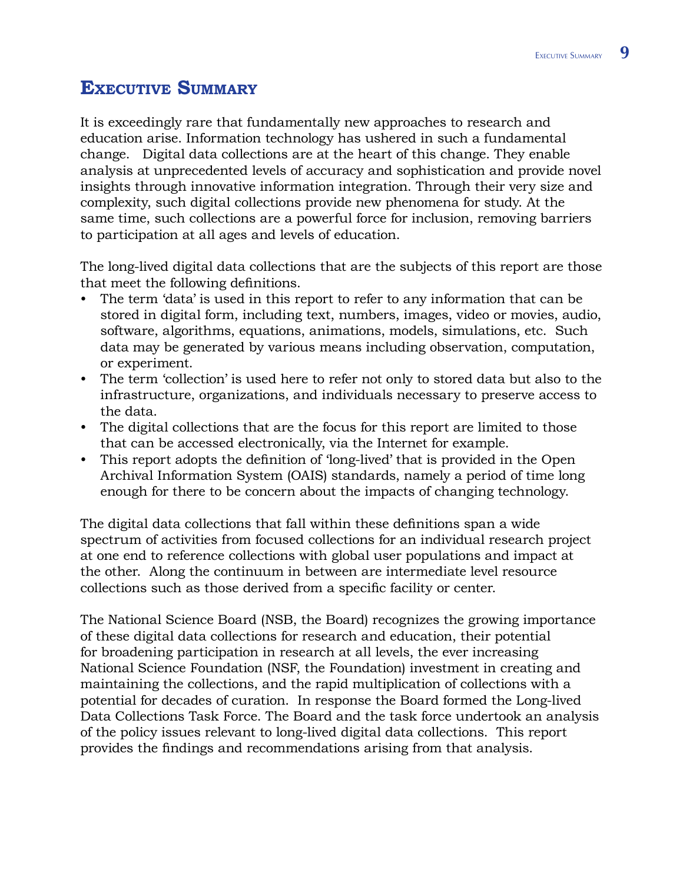# **Executive Summary**

It is exceedingly rare that fundamentally new approaches to research and education arise. Information technology has ushered in such a fundamental change. Digital data collections are at the heart of this change. They enable analysis at unprecedented levels of accuracy and sophistication and provide novel insights through innovative information integration. Through their very size and complexity, such digital collections provide new phenomena for study. At the same time, such collections are a powerful force for inclusion, removing barriers to participation at all ages and levels of education.

The long-lived digital data collections that are the subjects of this report are those that meet the following definitions.

- The term 'data' is used in this report to refer to any information that can be stored in digital form, including text, numbers, images, video or movies, audio, software, algorithms, equations, animations, models, simulations, etc. Such data may be generated by various means including observation, computation, or experiment. •
- The term 'collection' is used here to refer not only to stored data but also to the infrastructure, organizations, and individuals necessary to preserve access to the data.
- The digital collections that are the focus for this report are limited to those that can be accessed electronically, via the Internet for example.
- This report adopts the definition of 'long-lived' that is provided in the Open Archival Information System (OAIS) standards, namely a period of time long enough for there to be concern about the impacts of changing technology.

The digital data collections that fall within these definitions span a wide spectrum of activities from focused collections for an individual research project at one end to reference collections with global user populations and impact at the other. Along the continuum in between are intermediate level resource collections such as those derived from a specific facility or center.

The National Science Board (NSB, the Board) recognizes the growing importance of these digital data collections for research and education, their potential for broadening participation in research at all levels, the ever increasing National Science Foundation (NSF, the Foundation) investment in creating and maintaining the collections, and the rapid multiplication of collections with a potential for decades of curation. In response the Board formed the Long-lived Data Collections Task Force. The Board and the task force undertook an analysis of the policy issues relevant to long-lived digital data collections. This report provides the findings and recommendations arising from that analysis.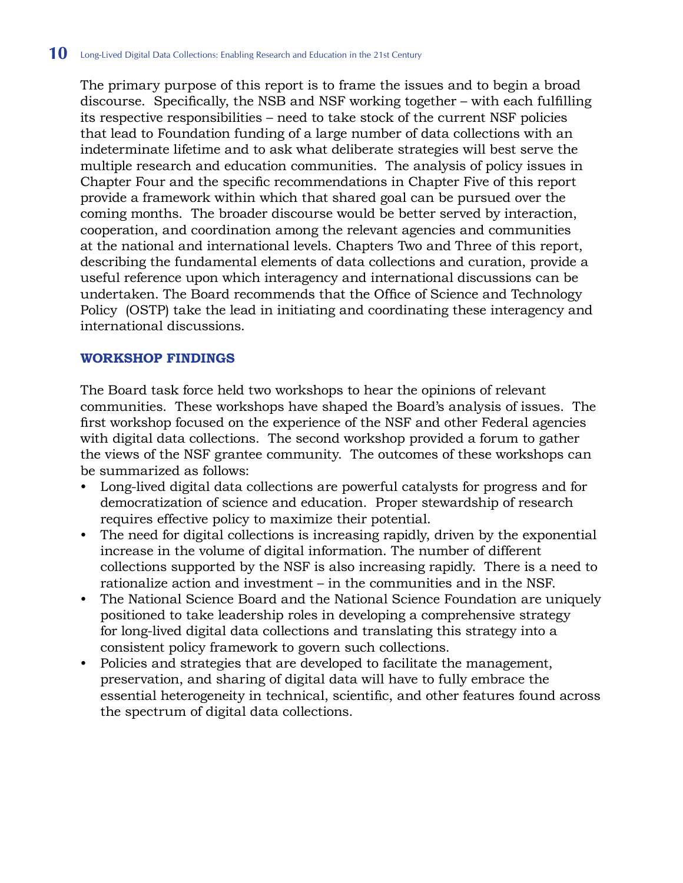The primary purpose of this report is to frame the issues and to begin a broad discourse. Specifically, the NSB and NSF working together – with each fulfilling its respective responsibilities – need to take stock of the current NSF policies that lead to Foundation funding of a large number of data collections with an indeterminate lifetime and to ask what deliberate strategies will best serve the multiple research and education communities. The analysis of policy issues in Chapter Four and the specific recommendations in Chapter Five of this report provide a framework within which that shared goal can be pursued over the coming months. The broader discourse would be better served by interaction, cooperation, and coordination among the relevant agencies and communities at the national and international levels. Chapters Two and Three of this report, describing the fundamental elements of data collections and curation, provide a useful reference upon which interagency and international discussions can be undertaken. The Board recommends that the Office of Science and Technology Policy (OSTP) take the lead in initiating and coordinating these interagency and international discussions.

### **Workshop Findings**

The Board task force held two workshops to hear the opinions of relevant communities. These workshops have shaped the Board's analysis of issues. The first workshop focused on the experience of the NSF and other Federal agencies with digital data collections. The second workshop provided a forum to gather the views of the NSF grantee community. The outcomes of these workshops can be summarized as follows:

- Long-lived digital data collections are powerful catalysts for progress and for democratization of science and education. Proper stewardship of research requires effective policy to maximize their potential.
- The need for digital collections is increasing rapidly, driven by the exponential increase in the volume of digital information. The number of different collections supported by the NSF is also increasing rapidly. There is a need to rationalize action and investment – in the communities and in the NSF.
- The National Science Board and the National Science Foundation are uniquely positioned to take leadership roles in developing a comprehensive strategy for long-lived digital data collections and translating this strategy into a consistent policy framework to govern such collections. •
- Policies and strategies that are developed to facilitate the management, preservation, and sharing of digital data will have to fully embrace the essential heterogeneity in technical, scientific, and other features found across the spectrum of digital data collections.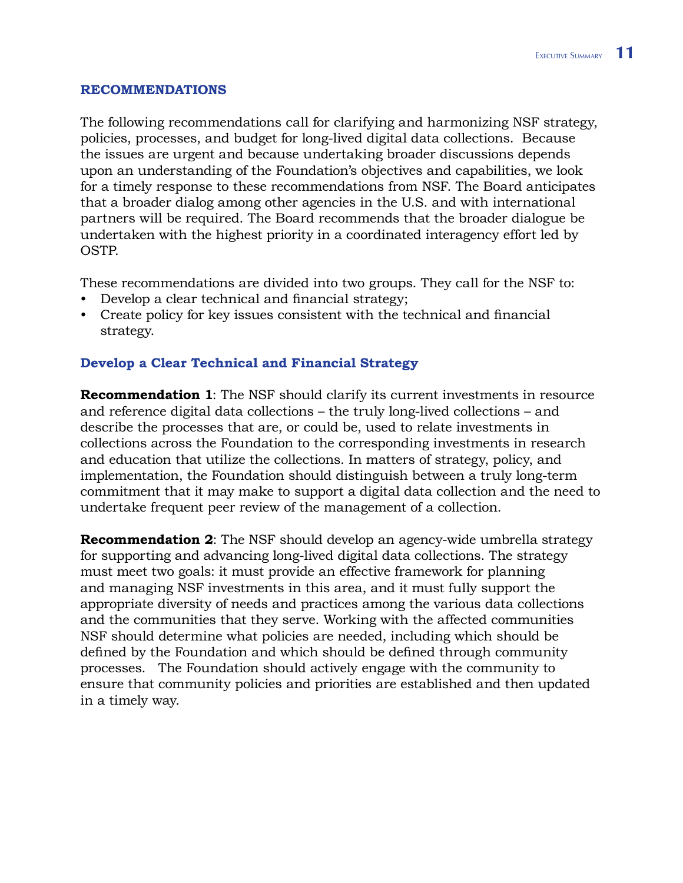#### **Recommendations**

The following recommendations call for clarifying and harmonizing NSF strategy, policies, processes, and budget for long-lived digital data collections. Because the issues are urgent and because undertaking broader discussions depends upon an understanding of the Foundation's objectives and capabilities, we look for a timely response to these recommendations from NSF. The Board anticipates that a broader dialog among other agencies in the U.S. and with international partners will be required. The Board recommends that the broader dialogue be undertaken with the highest priority in a coordinated interagency effort led by OSTP.

These recommendations are divided into two groups. They call for the NSF to:

- Develop a clear technical and financial strategy; •
- Create policy for key issues consistent with the technical and financial strategy.

### **Develop a Clear Technical and Financial Strategy**

**Recommendation 1**: The NSF should clarify its current investments in resource and reference digital data collections – the truly long-lived collections – and describe the processes that are, or could be, used to relate investments in collections across the Foundation to the corresponding investments in research and education that utilize the collections. In matters of strategy, policy, and implementation, the Foundation should distinguish between a truly long-term commitment that it may make to support a digital data collection and the need to undertake frequent peer review of the management of a collection.

**Recommendation 2**: The NSF should develop an agency-wide umbrella strategy for supporting and advancing long-lived digital data collections. The strategy must meet two goals: it must provide an effective framework for planning and managing NSF investments in this area, and it must fully support the appropriate diversity of needs and practices among the various data collections and the communities that they serve. Working with the affected communities NSF should determine what policies are needed, including which should be defined by the Foundation and which should be defined through community processes. The Foundation should actively engage with the community to ensure that community policies and priorities are established and then updated in a timely way.